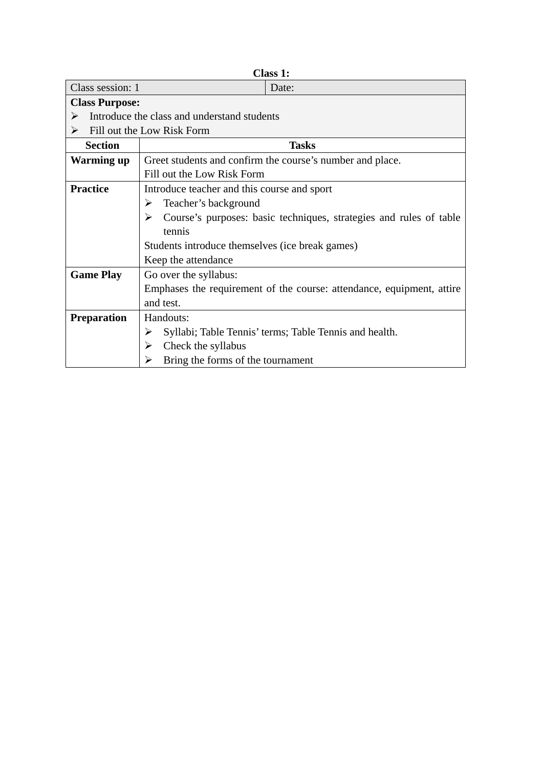| Class 1:                        |                                                 |                                                                       |
|---------------------------------|-------------------------------------------------|-----------------------------------------------------------------------|
| Class session: 1                |                                                 | Date:                                                                 |
| <b>Class Purpose:</b>           |                                                 |                                                                       |
| ➤                               | Introduce the class and understand students     |                                                                       |
| Fill out the Low Risk Form<br>➤ |                                                 |                                                                       |
| <b>Section</b>                  |                                                 | <b>Tasks</b>                                                          |
| Warming up                      |                                                 | Greet students and confirm the course's number and place.             |
|                                 | Fill out the Low Risk Form                      |                                                                       |
| <b>Practice</b>                 | Introduce teacher and this course and sport     |                                                                       |
|                                 | Teacher's background<br>➤                       |                                                                       |
|                                 | ➤                                               | Course's purposes: basic techniques, strategies and rules of table    |
|                                 | tennis                                          |                                                                       |
|                                 | Students introduce themselves (ice break games) |                                                                       |
|                                 | Keep the attendance                             |                                                                       |
| <b>Game Play</b>                | Go over the syllabus:                           |                                                                       |
|                                 |                                                 | Emphases the requirement of the course: attendance, equipment, attire |
|                                 | and test.                                       |                                                                       |
| <b>Preparation</b>              | Handouts:                                       |                                                                       |
|                                 | ➤                                               | Syllabi; Table Tennis' terms; Table Tennis and health.                |
|                                 | Check the syllabus<br>➤                         |                                                                       |
|                                 | Bring the forms of the tournament<br>➤          |                                                                       |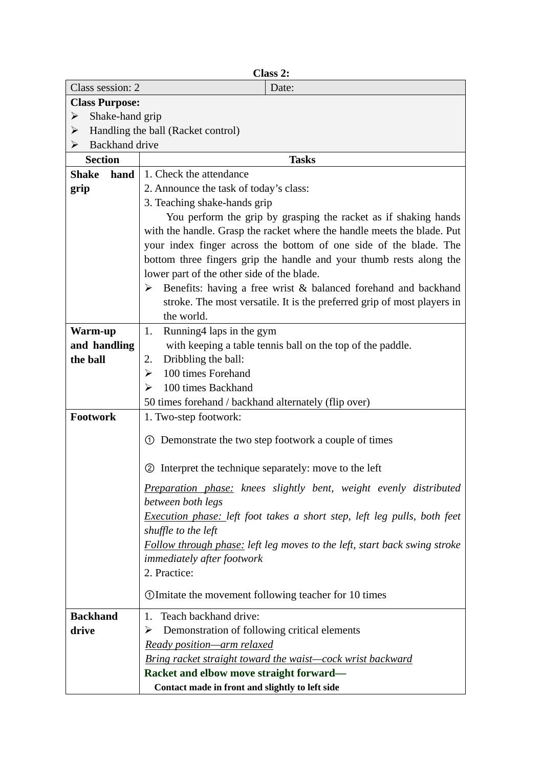|                       | Class 2:                                                                        |  |
|-----------------------|---------------------------------------------------------------------------------|--|
| Class session: 2      | Date:                                                                           |  |
| <b>Class Purpose:</b> |                                                                                 |  |
| Shake-hand grip<br>➤  |                                                                                 |  |
| ➤                     | Handling the ball (Racket control)                                              |  |
| Backhand drive<br>➤   |                                                                                 |  |
| <b>Section</b>        | <b>Tasks</b>                                                                    |  |
| <b>Shake</b><br>hand  | 1. Check the attendance                                                         |  |
| grip                  | 2. Announce the task of today's class:                                          |  |
|                       | 3. Teaching shake-hands grip                                                    |  |
|                       | You perform the grip by grasping the racket as if shaking hands                 |  |
|                       | with the handle. Grasp the racket where the handle meets the blade. Put         |  |
|                       | your index finger across the bottom of one side of the blade. The               |  |
|                       | bottom three fingers grip the handle and your thumb rests along the             |  |
|                       | lower part of the other side of the blade.                                      |  |
|                       | $\triangleright$ Benefits: having a free wrist & balanced forehand and backhand |  |
|                       | stroke. The most versatile. It is the preferred grip of most players in         |  |
|                       | the world.                                                                      |  |
| Warm-up               | Running4 laps in the gym<br>1.                                                  |  |
| and handling          | with keeping a table tennis ball on the top of the paddle.                      |  |
| the ball              | Dribbling the ball:<br>2.                                                       |  |
|                       | 100 times Forehand<br>≻                                                         |  |
|                       | 100 times Backhand<br>➤                                                         |  |
|                       | 50 times forehand / backhand alternately (flip over)                            |  |
| Footwork              | 1. Two-step footwork:                                                           |  |
|                       | 1 Demonstrate the two step footwork a couple of times                           |  |
|                       |                                                                                 |  |
|                       | 2 Interpret the technique separately: move to the left                          |  |
|                       | Preparation phase: knees slightly bent, weight evenly distributed               |  |
|                       | between both legs                                                               |  |
|                       | Execution phase: left foot takes a short step, left leg pulls, both feet        |  |
|                       | shuffle to the left                                                             |  |
|                       | Follow through phase: left leg moves to the left, start back swing stroke       |  |
|                       | immediately after footwork                                                      |  |
|                       | 2. Practice:                                                                    |  |
|                       | O Imitate the movement following teacher for 10 times                           |  |
|                       |                                                                                 |  |
| <b>Backhand</b>       | Teach backhand drive:<br>1.                                                     |  |
| drive                 | Demonstration of following critical elements<br>➤                               |  |
|                       | Ready position-arm relaxed                                                      |  |
|                       | <u>Bring racket straight toward the waist—cock wrist backward</u>               |  |
|                       | Racket and elbow move straight forward-                                         |  |
|                       | Contact made in front and slightly to left side                                 |  |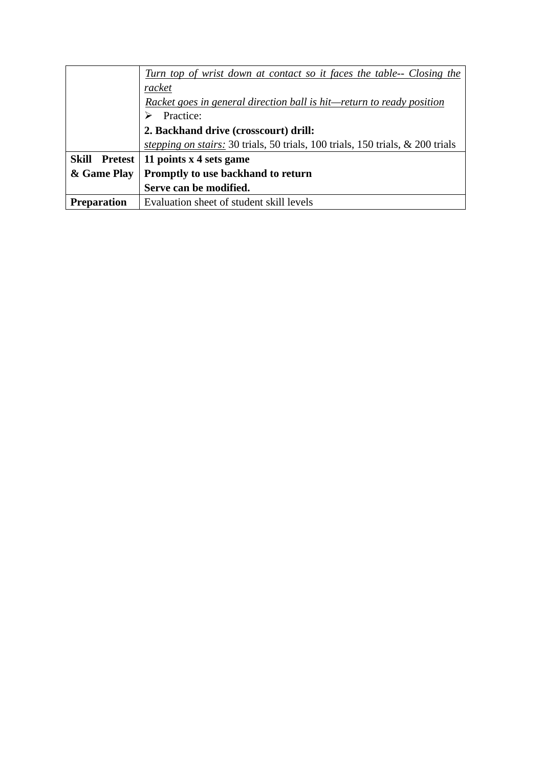|                    | Turn top of wrist down at contact so it faces the table-- Closing the                 |
|--------------------|---------------------------------------------------------------------------------------|
|                    | racket                                                                                |
|                    | Racket goes in general direction ball is hit—return to ready position                 |
|                    | Practice:                                                                             |
|                    | 2. Backhand drive (crosscourt) drill:                                                 |
|                    | <i>stepping on stairs:</i> 30 trials, 50 trials, 100 trials, 150 trials, & 200 trials |
| Skill Pretest      | 11 points x 4 sets game                                                               |
| & Game Play        | Promptly to use backhand to return                                                    |
|                    | Serve can be modified.                                                                |
| <b>Preparation</b> | Evaluation sheet of student skill levels                                              |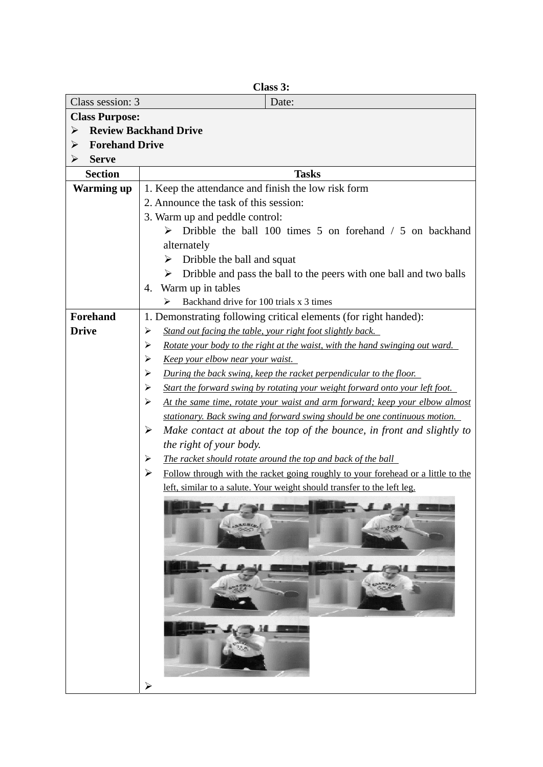| Class session: 3<br><b>Class Purpose:</b><br>➤ | Date:<br><b>Review Backhand Drive</b>                                                                                               |
|------------------------------------------------|-------------------------------------------------------------------------------------------------------------------------------------|
|                                                |                                                                                                                                     |
|                                                |                                                                                                                                     |
|                                                |                                                                                                                                     |
| <b>Forehand Drive</b><br>➤                     |                                                                                                                                     |
| <b>Serve</b><br>➤                              |                                                                                                                                     |
| <b>Section</b>                                 | <b>Tasks</b>                                                                                                                        |
| <b>Warming up</b>                              | 1. Keep the attendance and finish the low risk form                                                                                 |
|                                                | 2. Announce the task of this session:                                                                                               |
|                                                | 3. Warm up and peddle control:                                                                                                      |
|                                                | $\triangleright$ Dribble the ball 100 times 5 on forehand / 5 on backhand                                                           |
|                                                | alternately                                                                                                                         |
|                                                | Dribble the ball and squat<br>➤                                                                                                     |
|                                                | Dribble and pass the ball to the peers with one ball and two balls<br>➤                                                             |
|                                                | Warm up in tables<br>4.                                                                                                             |
|                                                | Backhand drive for 100 trials x 3 times<br>⋗                                                                                        |
| Forehand<br><b>Drive</b>                       | 1. Demonstrating following critical elements (for right handed):<br>Stand out facing the table, your right foot slightly back.<br>➤ |
|                                                | Rotate your body to the right at the waist, with the hand swinging out ward.<br>➤                                                   |
|                                                | <u>Keep your elbow near your waist.</u><br>⋗                                                                                        |
|                                                | During the back swing, keep the racket perpendicular to the floor.<br>➤                                                             |
|                                                | Start the forward swing by rotating your weight forward onto your left foot.<br>➤                                                   |
|                                                | ➤<br>At the same time, rotate your waist and arm forward; keep your elbow almost                                                    |
|                                                | stationary. Back swing and forward swing should be one continuous motion.                                                           |
|                                                | ➤<br>Make contact at about the top of the bounce, in front and slightly to                                                          |
|                                                | the right of your body.                                                                                                             |
|                                                | The racket should rotate around the top and back of the ball<br>⋗                                                                   |
|                                                | Follow through with the racket going roughly to your forehead or a little to the<br>➤                                               |
|                                                | left, similar to a salute. Your weight should transfer to the left leg.                                                             |
|                                                | <b>SACRIAL</b><br>COARNIE<br>فيلية<br>≻                                                                                             |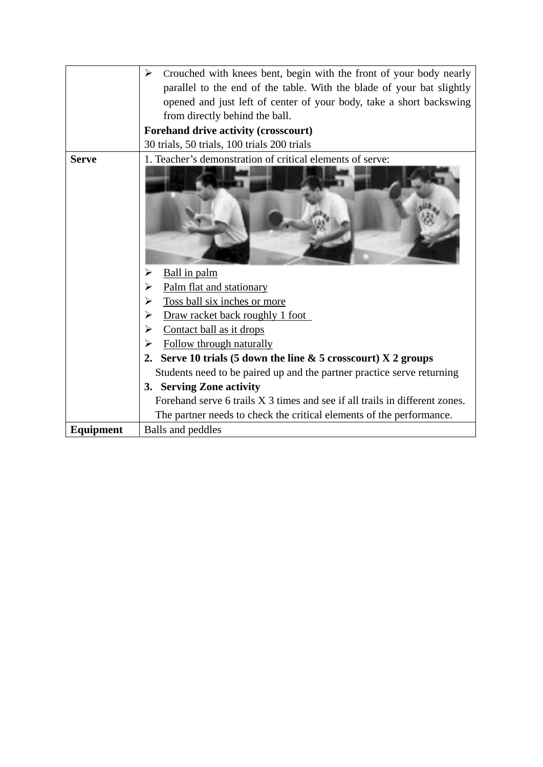|              | Crouched with knees bent, begin with the front of your body nearly<br>⋗     |
|--------------|-----------------------------------------------------------------------------|
|              | parallel to the end of the table. With the blade of your bat slightly       |
|              | opened and just left of center of your body, take a short backswing         |
|              | from directly behind the ball.                                              |
|              | <b>Forehand drive activity (crosscourt)</b>                                 |
|              | 30 trials, 50 trials, 100 trials 200 trials                                 |
| <b>Serve</b> | 1. Teacher's demonstration of critical elements of serve:                   |
|              |                                                                             |
|              |                                                                             |
|              |                                                                             |
|              | Ball in palm                                                                |
|              | Palm flat and stationary                                                    |
|              | Toss ball six inches or more<br>➢                                           |
|              | Draw racket back roughly 1 foot<br>⋗                                        |
|              | Contact ball as it drops<br>⋗                                               |
|              | Follow through naturally<br>⋗                                               |
|              | Serve 10 trials (5 down the line $\&$ 5 crosscourt) X 2 groups              |
|              | Students need to be paired up and the partner practice serve returning      |
|              | 3. Serving Zone activity                                                    |
|              | Forehand serve 6 trails X 3 times and see if all trails in different zones. |
|              | The partner needs to check the critical elements of the performance.        |
| Equipment    | Balls and peddles                                                           |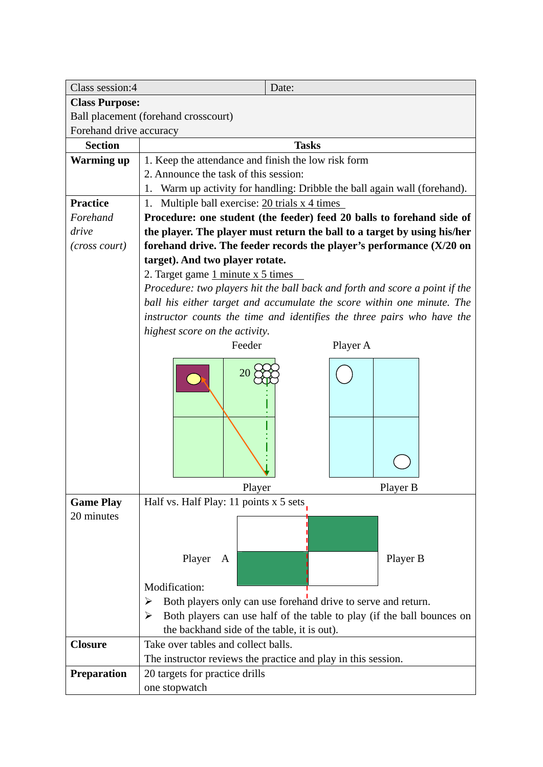| Class session:4         | Date:                                                                       |
|-------------------------|-----------------------------------------------------------------------------|
| <b>Class Purpose:</b>   |                                                                             |
|                         | Ball placement (forehand crosscourt)                                        |
| Forehand drive accuracy |                                                                             |
| <b>Section</b>          | <b>Tasks</b>                                                                |
| <b>Warming up</b>       | 1. Keep the attendance and finish the low risk form                         |
|                         | 2. Announce the task of this session:                                       |
|                         | 1. Warm up activity for handling: Dribble the ball again wall (forehand).   |
| <b>Practice</b>         | Multiple ball exercise: 20 trials x 4 times<br>1.                           |
| Forehand                | Procedure: one student (the feeder) feed 20 balls to forehand side of       |
| drive                   | the player. The player must return the ball to a target by using his/her    |
| (cross court)           | forehand drive. The feeder records the player's performance $(X/20)$ on     |
|                         | target). And two player rotate.                                             |
|                         | 2. Target game 1 minute x 5 times                                           |
|                         | Procedure: two players hit the ball back and forth and score a point if the |
|                         | ball his either target and accumulate the score within one minute. The      |
|                         | instructor counts the time and identifies the three pairs who have the      |
|                         | highest score on the activity.                                              |
|                         | Feeder<br>Player A                                                          |
|                         | 20                                                                          |
|                         | Player<br>Player B                                                          |
| <b>Game Play</b>        | Half vs. Half Play: 11 points x 5 sets.                                     |
| 20 minutes              | Player<br>Player B<br>A                                                     |
|                         | Modification:                                                               |
|                         | Both players only can use forehand drive to serve and return.               |
|                         | Both players can use half of the table to play (if the ball bounces on<br>➤ |
|                         | the backhand side of the table, it is out).                                 |
| <b>Closure</b>          | Take over tables and collect balls.                                         |
|                         | The instructor reviews the practice and play in this session.               |
| <b>Preparation</b>      | 20 targets for practice drills                                              |
|                         | one stopwatch                                                               |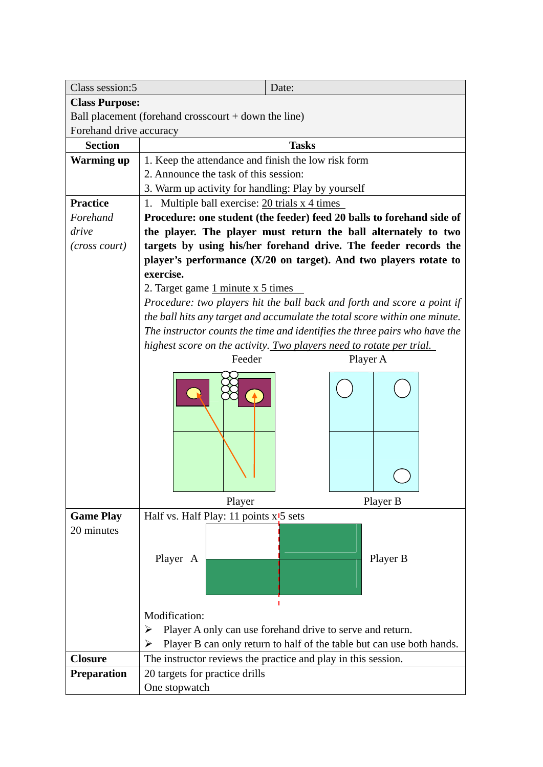| Class session:5                                        | Date:                                                                      |  |
|--------------------------------------------------------|----------------------------------------------------------------------------|--|
| <b>Class Purpose:</b>                                  |                                                                            |  |
| Ball placement (forehand crosscourt $+$ down the line) |                                                                            |  |
| Forehand drive accuracy                                |                                                                            |  |
| <b>Section</b>                                         | <b>Tasks</b>                                                               |  |
| <b>Warming up</b>                                      | 1. Keep the attendance and finish the low risk form                        |  |
|                                                        | 2. Announce the task of this session:                                      |  |
|                                                        | 3. Warm up activity for handling: Play by yourself                         |  |
| <b>Practice</b>                                        | Multiple ball exercise: 20 trials x 4 times<br>1.                          |  |
| Forehand                                               | Procedure: one student (the feeder) feed 20 balls to forehand side of      |  |
| drive                                                  | the player. The player must return the ball alternately to two             |  |
| (cross court)                                          | targets by using his/her forehand drive. The feeder records the            |  |
|                                                        | player's performance (X/20 on target). And two players rotate to           |  |
|                                                        | exercise.                                                                  |  |
|                                                        | 2. Target game $1$ minute $x 5$ times                                      |  |
|                                                        | Procedure: two players hit the ball back and forth and score a point if    |  |
|                                                        | the ball hits any target and accumulate the total score within one minute. |  |
|                                                        | The instructor counts the time and identifies the three pairs who have the |  |
|                                                        | highest score on the activity. Two players need to rotate per trial.       |  |
|                                                        | Feeder<br>Player A                                                         |  |
|                                                        |                                                                            |  |
|                                                        |                                                                            |  |
|                                                        | Player B<br>Player                                                         |  |
| <b>Game Play</b>                                       | Half vs. Half Play: 11 points x <sup>15</sup> sets                         |  |
| 20 minutes                                             |                                                                            |  |
|                                                        | Player A<br>Player B                                                       |  |
|                                                        |                                                                            |  |
|                                                        | Modification:                                                              |  |
|                                                        | Player A only can use forehand drive to serve and return.<br>➤             |  |
|                                                        | Player B can only return to half of the table but can use both hands.<br>➤ |  |
| <b>Closure</b>                                         | The instructor reviews the practice and play in this session.              |  |
| <b>Preparation</b>                                     | 20 targets for practice drills                                             |  |
|                                                        | One stopwatch                                                              |  |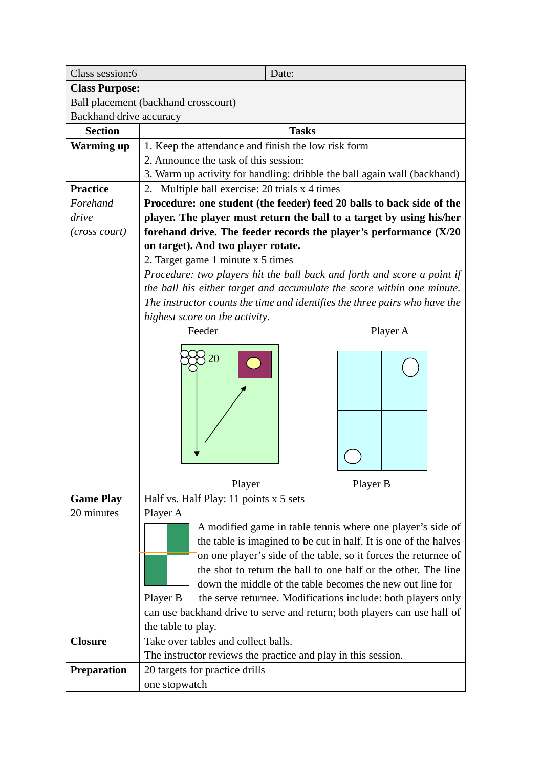| Class session:6         | Date:                                                                               |
|-------------------------|-------------------------------------------------------------------------------------|
| <b>Class Purpose:</b>   |                                                                                     |
|                         | Ball placement (backhand crosscourt)                                                |
| Backhand drive accuracy |                                                                                     |
| <b>Section</b>          | <b>Tasks</b>                                                                        |
| <b>Warming up</b>       | 1. Keep the attendance and finish the low risk form                                 |
|                         | 2. Announce the task of this session:                                               |
|                         | 3. Warm up activity for handling: dribble the ball again wall (backhand)            |
| <b>Practice</b>         | 2. Multiple ball exercise: $20 \text{ trials } x \text{ 4 times}$                   |
| Forehand                | Procedure: one student (the feeder) feed 20 balls to back side of the               |
| drive                   | player. The player must return the ball to a target by using his/her                |
| (cross court)           | forehand drive. The feeder records the player's performance $(X/20)$                |
|                         | on target). And two player rotate.                                                  |
|                         | 2. Target game $1$ minute $x 5$ times                                               |
|                         | Procedure: two players hit the ball back and forth and score a point if             |
|                         | the ball his either target and accumulate the score within one minute.              |
|                         | The instructor counts the time and identifies the three pairs who have the          |
|                         | highest score on the activity.                                                      |
|                         | Feeder<br>Player A                                                                  |
|                         |                                                                                     |
|                         | 20                                                                                  |
|                         |                                                                                     |
|                         | Player B<br>Player                                                                  |
| <b>Game Play</b>        | Half vs. Half Play: 11 points x 5 sets                                              |
| 20 minutes              | Player A                                                                            |
|                         | A modified game in table tennis where one player's side of                          |
|                         | the table is imagined to be cut in half. It is one of the halves                    |
|                         | on one player's side of the table, so it forces the returnee of                     |
|                         | the shot to return the ball to one half or the other. The line                      |
|                         | down the middle of the table becomes the new out line for                           |
|                         | Player <sub>B</sub><br>the serve returnee. Modifications include: both players only |
|                         | can use backhand drive to serve and return; both players can use half of            |
|                         | the table to play.                                                                  |
| <b>Closure</b>          | Take over tables and collect balls.                                                 |
|                         | The instructor reviews the practice and play in this session.                       |
| Preparation             | 20 targets for practice drills                                                      |
|                         | one stopwatch                                                                       |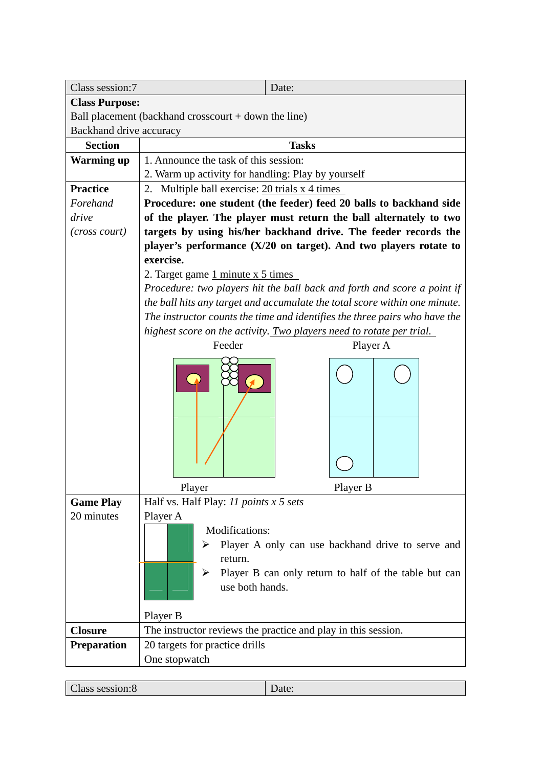| Class session:7         | Date:                                                                          |                                                                                                            |
|-------------------------|--------------------------------------------------------------------------------|------------------------------------------------------------------------------------------------------------|
| <b>Class Purpose:</b>   |                                                                                |                                                                                                            |
|                         | Ball placement (backhand crosscourt + down the line)                           |                                                                                                            |
| Backhand drive accuracy |                                                                                |                                                                                                            |
| <b>Section</b>          | <b>Tasks</b>                                                                   |                                                                                                            |
| <b>Warming up</b>       | 1. Announce the task of this session:                                          |                                                                                                            |
|                         | 2. Warm up activity for handling: Play by yourself                             |                                                                                                            |
| <b>Practice</b>         | 2. Multiple ball exercise: $20 \text{ trials } x 4 \text{ times}$              |                                                                                                            |
| Forehand                | Procedure: one student (the feeder) feed 20 balls to backhand side             |                                                                                                            |
| drive                   | of the player. The player must return the ball alternately to two              |                                                                                                            |
| (cross court)           | targets by using his/her backhand drive. The feeder records the                |                                                                                                            |
|                         | player's performance $(X/20$ on target). And two players rotate to             |                                                                                                            |
|                         | exercise.                                                                      |                                                                                                            |
|                         | 2. Target game 1 minute x 5 times                                              |                                                                                                            |
|                         | Procedure: two players hit the ball back and forth and score a point if        |                                                                                                            |
|                         | the ball hits any target and accumulate the total score within one minute.     |                                                                                                            |
|                         | The instructor counts the time and identifies the three pairs who have the     |                                                                                                            |
|                         | highest score on the activity. Two players need to rotate per trial.<br>Feeder | Player A                                                                                                   |
|                         |                                                                                |                                                                                                            |
|                         | Player                                                                         | Player B                                                                                                   |
| <b>Game Play</b>        | Half vs. Half Play: 11 points x 5 sets                                         |                                                                                                            |
| 20 minutes              | Player A<br>Modifications:<br>➤<br>return.<br>➤<br>use both hands.<br>Player B | Player A only can use backhand drive to serve and<br>Player B can only return to half of the table but can |
| <b>Closure</b>          | The instructor reviews the practice and play in this session.                  |                                                                                                            |
| <b>Preparation</b>      | 20 targets for practice drills                                                 |                                                                                                            |
|                         | One stopwatch                                                                  |                                                                                                            |

| lass session:8<br>ate: |
|------------------------|
|------------------------|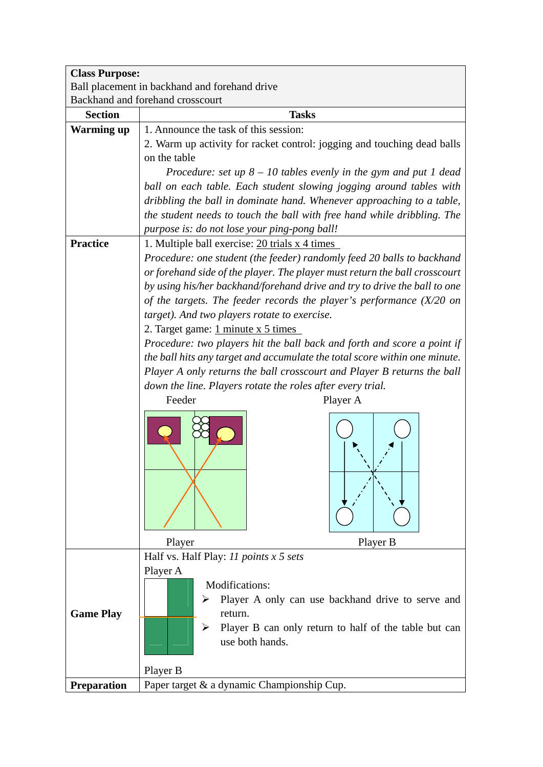| <b>Class Purpose:</b> |                                                                                                   |
|-----------------------|---------------------------------------------------------------------------------------------------|
|                       | Ball placement in backhand and forehand drive                                                     |
|                       | Backhand and forehand crosscourt                                                                  |
| <b>Section</b>        | <b>Tasks</b>                                                                                      |
| <b>Warming up</b>     | 1. Announce the task of this session:                                                             |
|                       | 2. Warm up activity for racket control: jogging and touching dead balls                           |
|                       | on the table                                                                                      |
|                       | Procedure: set up $8 - 10$ tables evenly in the gym and put 1 dead                                |
|                       | ball on each table. Each student slowing jogging around tables with                               |
|                       | dribbling the ball in dominate hand. Whenever approaching to a table,                             |
|                       | the student needs to touch the ball with free hand while dribbling. The                           |
|                       | purpose is: do not lose your ping-pong ball!                                                      |
| <b>Practice</b>       | 1. Multiple ball exercise: 20 trials x 4 times                                                    |
|                       | Procedure: one student (the feeder) randomly feed 20 balls to backhand                            |
|                       | or forehand side of the player. The player must return the ball crosscourt                        |
|                       | by using his/her backhand/forehand drive and try to drive the ball to one                         |
|                       | of the targets. The feeder records the player's performance $(X/20$ on                            |
|                       | target). And two players rotate to exercise.                                                      |
|                       | 2. Target game: $1$ minute x 5 times                                                              |
|                       | Procedure: two players hit the ball back and forth and score a point if                           |
|                       | the ball hits any target and accumulate the total score within one minute.                        |
|                       | Player A only returns the ball crosscourt and Player B returns the ball                           |
|                       | down the line. Players rotate the roles after every trial.                                        |
|                       | Feeder<br>Player A                                                                                |
|                       | Player<br>Player B                                                                                |
|                       | Half vs. Half Play: $11$ points $x 5$ sets                                                        |
| <b>Game Play</b>      | Player A<br><b>Modifications:</b><br>Player A only can use backhand drive to serve and<br>return. |
|                       | Player B can only return to half of the table but can<br>➤<br>use both hands.<br>Player B         |
| <b>Preparation</b>    | Paper target & a dynamic Championship Cup.                                                        |
|                       |                                                                                                   |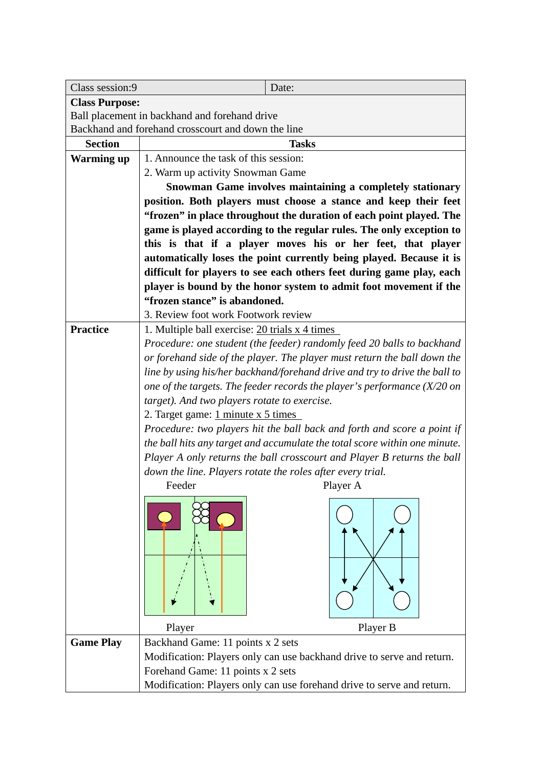| Class session:9       | Date:                                                                      |
|-----------------------|----------------------------------------------------------------------------|
| <b>Class Purpose:</b> |                                                                            |
|                       | Ball placement in backhand and forehand drive                              |
|                       | Backhand and forehand crosscourt and down the line                         |
| <b>Section</b>        | <b>Tasks</b>                                                               |
| <b>Warming up</b>     | 1. Announce the task of this session:                                      |
|                       | 2. Warm up activity Snowman Game                                           |
|                       | Snowman Game involves maintaining a completely stationary                  |
|                       | position. Both players must choose a stance and keep their feet            |
|                       | "frozen" in place throughout the duration of each point played. The        |
|                       | game is played according to the regular rules. The only exception to       |
|                       | this is that if a player moves his or her feet, that player                |
|                       | automatically loses the point currently being played. Because it is        |
|                       | difficult for players to see each others feet during game play, each       |
|                       | player is bound by the honor system to admit foot movement if the          |
|                       | "frozen stance" is abandoned.                                              |
|                       | 3. Review foot work Footwork review                                        |
| <b>Practice</b>       | 1. Multiple ball exercise: 20 trials x 4 times                             |
|                       | Procedure: one student (the feeder) randomly feed 20 balls to backhand     |
|                       | or forehand side of the player. The player must return the ball down the   |
|                       | line by using his/her backhand/forehand drive and try to drive the ball to |
|                       | one of the targets. The feeder records the player's performance $(X/20$ on |
|                       | target). And two players rotate to exercise.                               |
|                       | 2. Target game: 1 minute x 5 times                                         |
|                       | Procedure: two players hit the ball back and forth and score a point if    |
|                       | the ball hits any target and accumulate the total score within one minute. |
|                       | Player A only returns the ball crosscourt and Player B returns the ball    |
|                       | down the line. Players rotate the roles after every trial.                 |
|                       | Feeder<br>Player A                                                         |
|                       |                                                                            |
|                       |                                                                            |
|                       | Player B<br>Player                                                         |
| <b>Game Play</b>      | Backhand Game: 11 points x 2 sets                                          |
|                       | Modification: Players only can use backhand drive to serve and return.     |
|                       | Forehand Game: 11 points x 2 sets                                          |
|                       | Modification: Players only can use forehand drive to serve and return.     |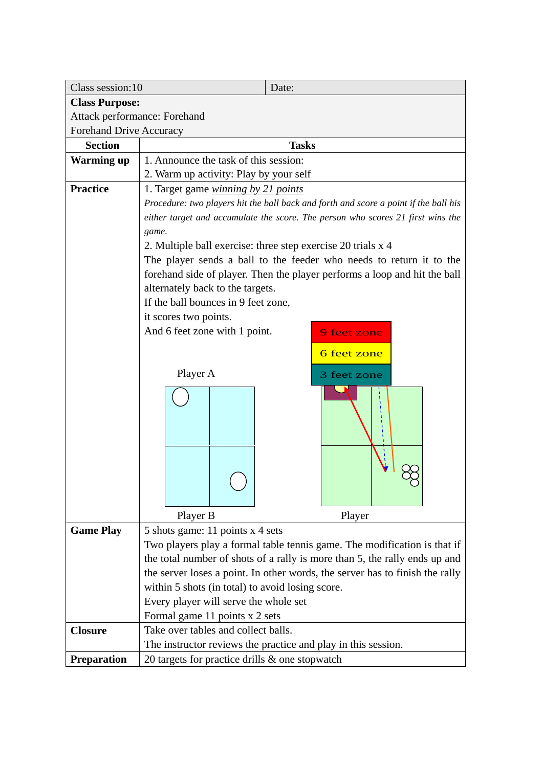| Class session:10             | Date:                                                                                |  |  |  |  |  |  |
|------------------------------|--------------------------------------------------------------------------------------|--|--|--|--|--|--|
| <b>Class Purpose:</b>        |                                                                                      |  |  |  |  |  |  |
| Attack performance: Forehand |                                                                                      |  |  |  |  |  |  |
| Forehand Drive Accuracy      |                                                                                      |  |  |  |  |  |  |
| <b>Section</b>               | <b>Tasks</b>                                                                         |  |  |  |  |  |  |
| <b>Warming up</b>            | 1. Announce the task of this session:                                                |  |  |  |  |  |  |
|                              | 2. Warm up activity: Play by your self                                               |  |  |  |  |  |  |
| <b>Practice</b>              | 1. Target game <i>winning by 21 points</i>                                           |  |  |  |  |  |  |
|                              | Procedure: two players hit the ball back and forth and score a point if the ball his |  |  |  |  |  |  |
|                              | either target and accumulate the score. The person who scores 21 first wins the      |  |  |  |  |  |  |
|                              | game.                                                                                |  |  |  |  |  |  |
|                              | 2. Multiple ball exercise: three step exercise 20 trials x 4                         |  |  |  |  |  |  |
|                              | The player sends a ball to the feeder who needs to return it to the                  |  |  |  |  |  |  |
|                              | forehand side of player. Then the player performs a loop and hit the ball            |  |  |  |  |  |  |
|                              | alternately back to the targets.                                                     |  |  |  |  |  |  |
|                              | If the ball bounces in 9 feet zone,                                                  |  |  |  |  |  |  |
|                              | it scores two points.                                                                |  |  |  |  |  |  |
|                              | And 6 feet zone with 1 point.<br><b>9 feet zone</b>                                  |  |  |  |  |  |  |
|                              | 6 feet zone                                                                          |  |  |  |  |  |  |
|                              | Player A                                                                             |  |  |  |  |  |  |
|                              | 3 feet zone                                                                          |  |  |  |  |  |  |
|                              |                                                                                      |  |  |  |  |  |  |
|                              |                                                                                      |  |  |  |  |  |  |
|                              |                                                                                      |  |  |  |  |  |  |
|                              |                                                                                      |  |  |  |  |  |  |
|                              |                                                                                      |  |  |  |  |  |  |
|                              |                                                                                      |  |  |  |  |  |  |
|                              |                                                                                      |  |  |  |  |  |  |
|                              |                                                                                      |  |  |  |  |  |  |
|                              | Player B<br>Player                                                                   |  |  |  |  |  |  |
| <b>Game Play</b>             | 5 shots game: 11 points x 4 sets                                                     |  |  |  |  |  |  |
|                              | Two players play a formal table tennis game. The modification is that if             |  |  |  |  |  |  |
|                              | the total number of shots of a rally is more than 5, the rally ends up and           |  |  |  |  |  |  |
|                              | the server loses a point. In other words, the server has to finish the rally         |  |  |  |  |  |  |
|                              | within 5 shots (in total) to avoid losing score.                                     |  |  |  |  |  |  |
|                              | Every player will serve the whole set                                                |  |  |  |  |  |  |
|                              | Formal game 11 points x 2 sets                                                       |  |  |  |  |  |  |
| <b>Closure</b>               | Take over tables and collect balls.                                                  |  |  |  |  |  |  |
|                              | The instructor reviews the practice and play in this session.                        |  |  |  |  |  |  |
| <b>Preparation</b>           | 20 targets for practice drills $\&$ one stopwatch                                    |  |  |  |  |  |  |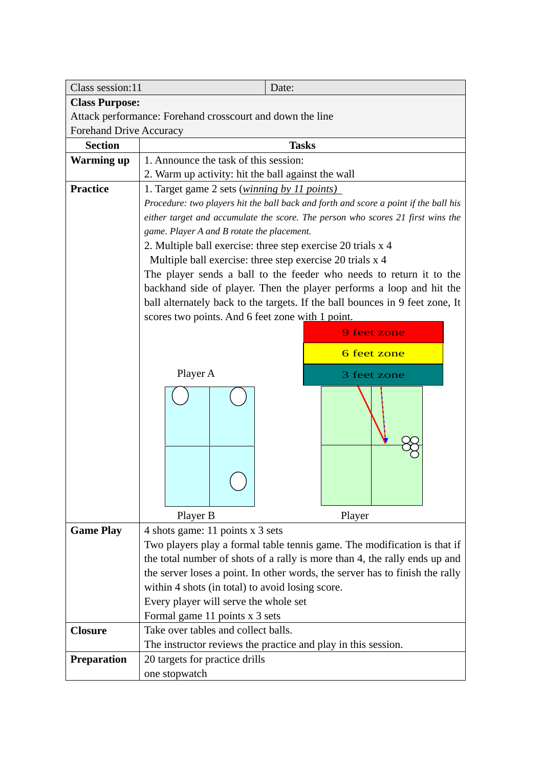| Class session:11               | Date:                                                                                |  |  |  |  |  |  |
|--------------------------------|--------------------------------------------------------------------------------------|--|--|--|--|--|--|
| <b>Class Purpose:</b>          |                                                                                      |  |  |  |  |  |  |
|                                | Attack performance: Forehand crosscourt and down the line                            |  |  |  |  |  |  |
| <b>Forehand Drive Accuracy</b> |                                                                                      |  |  |  |  |  |  |
| <b>Section</b>                 | <b>Tasks</b>                                                                         |  |  |  |  |  |  |
| <b>Warming up</b>              | 1. Announce the task of this session:                                                |  |  |  |  |  |  |
|                                | 2. Warm up activity: hit the ball against the wall                                   |  |  |  |  |  |  |
| <b>Practice</b>                | 1. Target game 2 sets ( <i>winning by 11 points</i> )                                |  |  |  |  |  |  |
|                                | Procedure: two players hit the ball back and forth and score a point if the ball his |  |  |  |  |  |  |
|                                | either target and accumulate the score. The person who scores 21 first wins the      |  |  |  |  |  |  |
|                                | game. Player A and B rotate the placement.                                           |  |  |  |  |  |  |
|                                | 2. Multiple ball exercise: three step exercise 20 trials x 4                         |  |  |  |  |  |  |
|                                | Multiple ball exercise: three step exercise 20 trials x 4                            |  |  |  |  |  |  |
|                                | The player sends a ball to the feeder who needs to return it to the                  |  |  |  |  |  |  |
|                                | backhand side of player. Then the player performs a loop and hit the                 |  |  |  |  |  |  |
|                                | ball alternately back to the targets. If the ball bounces in 9 feet zone, It         |  |  |  |  |  |  |
|                                | scores two points. And 6 feet zone with 1 point.                                     |  |  |  |  |  |  |
|                                | <b>9 feet zone</b>                                                                   |  |  |  |  |  |  |
|                                | <b>6</b> feet zone                                                                   |  |  |  |  |  |  |
|                                |                                                                                      |  |  |  |  |  |  |
|                                | Player A<br>3 feet zone                                                              |  |  |  |  |  |  |
|                                |                                                                                      |  |  |  |  |  |  |
|                                |                                                                                      |  |  |  |  |  |  |
|                                | Player B<br>Player                                                                   |  |  |  |  |  |  |
| <b>Game Play</b>               | 4 shots game: 11 points x 3 sets                                                     |  |  |  |  |  |  |
|                                | Two players play a formal table tennis game. The modification is that if             |  |  |  |  |  |  |
|                                | the total number of shots of a rally is more than 4, the rally ends up and           |  |  |  |  |  |  |
|                                | the server loses a point. In other words, the server has to finish the rally         |  |  |  |  |  |  |
|                                | within 4 shots (in total) to avoid losing score.                                     |  |  |  |  |  |  |
|                                | Every player will serve the whole set                                                |  |  |  |  |  |  |
| <b>Closure</b>                 | Formal game 11 points x 3 sets<br>Take over tables and collect balls.                |  |  |  |  |  |  |
|                                | The instructor reviews the practice and play in this session.                        |  |  |  |  |  |  |
| <b>Preparation</b>             | 20 targets for practice drills                                                       |  |  |  |  |  |  |
|                                | one stopwatch                                                                        |  |  |  |  |  |  |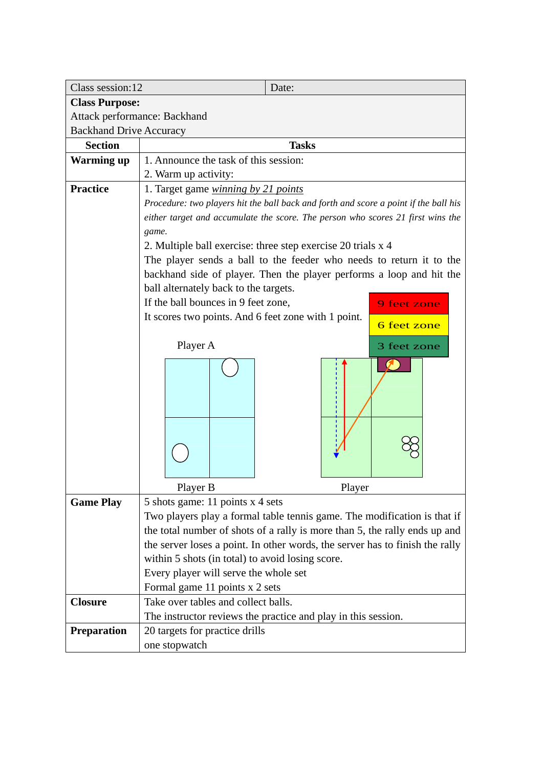| Class session:12               | Date:                                                                                |  |  |  |  |  |
|--------------------------------|--------------------------------------------------------------------------------------|--|--|--|--|--|
| <b>Class Purpose:</b>          |                                                                                      |  |  |  |  |  |
| Attack performance: Backhand   |                                                                                      |  |  |  |  |  |
| <b>Backhand Drive Accuracy</b> |                                                                                      |  |  |  |  |  |
| <b>Section</b>                 | <b>Tasks</b>                                                                         |  |  |  |  |  |
| <b>Warming up</b>              | 1. Announce the task of this session:                                                |  |  |  |  |  |
|                                | 2. Warm up activity:                                                                 |  |  |  |  |  |
| <b>Practice</b>                | 1. Target game <i>winning by 21 points</i>                                           |  |  |  |  |  |
|                                | Procedure: two players hit the ball back and forth and score a point if the ball his |  |  |  |  |  |
|                                | either target and accumulate the score. The person who scores 21 first wins the      |  |  |  |  |  |
|                                | game.                                                                                |  |  |  |  |  |
|                                | 2. Multiple ball exercise: three step exercise 20 trials x 4                         |  |  |  |  |  |
|                                | The player sends a ball to the feeder who needs to return it to the                  |  |  |  |  |  |
|                                | backhand side of player. Then the player performs a loop and hit the                 |  |  |  |  |  |
|                                | ball alternately back to the targets.                                                |  |  |  |  |  |
|                                | If the ball bounces in 9 feet zone,<br>9 feet zone                                   |  |  |  |  |  |
|                                | It scores two points. And 6 feet zone with 1 point.<br>6 feet zone                   |  |  |  |  |  |
|                                |                                                                                      |  |  |  |  |  |
|                                | Player A<br>3 feet zone                                                              |  |  |  |  |  |
|                                |                                                                                      |  |  |  |  |  |
|                                |                                                                                      |  |  |  |  |  |
|                                |                                                                                      |  |  |  |  |  |
|                                | Player B<br>Player                                                                   |  |  |  |  |  |
| <b>Game Play</b>               | 5 shots game: 11 points x 4 sets                                                     |  |  |  |  |  |
|                                | Two players play a formal table tennis game. The modification is that if             |  |  |  |  |  |
|                                | the total number of shots of a rally is more than 5, the rally ends up and           |  |  |  |  |  |
|                                | the server loses a point. In other words, the server has to finish the rally         |  |  |  |  |  |
|                                | within 5 shots (in total) to avoid losing score.                                     |  |  |  |  |  |
|                                | Every player will serve the whole set                                                |  |  |  |  |  |
|                                | Formal game 11 points x 2 sets                                                       |  |  |  |  |  |
| <b>Closure</b>                 | Take over tables and collect balls.                                                  |  |  |  |  |  |
|                                | The instructor reviews the practice and play in this session.                        |  |  |  |  |  |
| Preparation                    | 20 targets for practice drills                                                       |  |  |  |  |  |
|                                | one stopwatch                                                                        |  |  |  |  |  |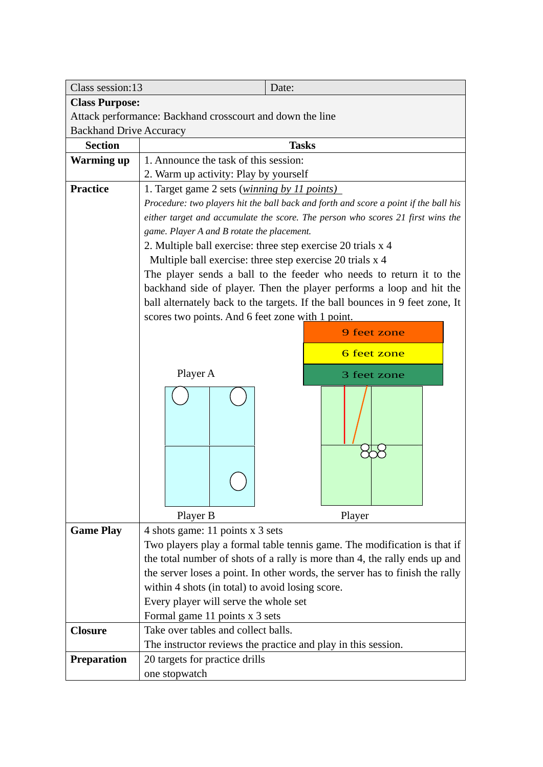| Class session:13               | Date:                                                                                |  |  |  |  |  |  |
|--------------------------------|--------------------------------------------------------------------------------------|--|--|--|--|--|--|
| <b>Class Purpose:</b>          |                                                                                      |  |  |  |  |  |  |
|                                | Attack performance: Backhand crosscourt and down the line                            |  |  |  |  |  |  |
| <b>Backhand Drive Accuracy</b> |                                                                                      |  |  |  |  |  |  |
| <b>Section</b>                 | <b>Tasks</b>                                                                         |  |  |  |  |  |  |
| <b>Warming up</b>              | 1. Announce the task of this session:                                                |  |  |  |  |  |  |
|                                | 2. Warm up activity: Play by yourself                                                |  |  |  |  |  |  |
| <b>Practice</b>                | 1. Target game 2 sets ( <i>winning by 11 points</i> )                                |  |  |  |  |  |  |
|                                | Procedure: two players hit the ball back and forth and score a point if the ball his |  |  |  |  |  |  |
|                                | either target and accumulate the score. The person who scores 21 first wins the      |  |  |  |  |  |  |
|                                | game. Player A and B rotate the placement.                                           |  |  |  |  |  |  |
|                                | 2. Multiple ball exercise: three step exercise 20 trials x 4                         |  |  |  |  |  |  |
|                                | Multiple ball exercise: three step exercise 20 trials x 4                            |  |  |  |  |  |  |
|                                | The player sends a ball to the feeder who needs to return it to the                  |  |  |  |  |  |  |
|                                | backhand side of player. Then the player performs a loop and hit the                 |  |  |  |  |  |  |
|                                | ball alternately back to the targets. If the ball bounces in 9 feet zone, It         |  |  |  |  |  |  |
|                                | scores two points. And 6 feet zone with 1 point.                                     |  |  |  |  |  |  |
|                                | 9 feet zone                                                                          |  |  |  |  |  |  |
|                                | 6 feet zone                                                                          |  |  |  |  |  |  |
|                                |                                                                                      |  |  |  |  |  |  |
|                                | Player A<br>3 feet zone                                                              |  |  |  |  |  |  |
|                                |                                                                                      |  |  |  |  |  |  |
|                                |                                                                                      |  |  |  |  |  |  |
|                                |                                                                                      |  |  |  |  |  |  |
|                                |                                                                                      |  |  |  |  |  |  |
|                                |                                                                                      |  |  |  |  |  |  |
|                                |                                                                                      |  |  |  |  |  |  |
|                                | Player B<br>Player                                                                   |  |  |  |  |  |  |
| <b>Game Play</b>               | 4 shots game: 11 points x 3 sets                                                     |  |  |  |  |  |  |
|                                | Two players play a formal table tennis game. The modification is that if             |  |  |  |  |  |  |
|                                | the total number of shots of a rally is more than 4, the rally ends up and           |  |  |  |  |  |  |
|                                | the server loses a point. In other words, the server has to finish the rally         |  |  |  |  |  |  |
|                                | within 4 shots (in total) to avoid losing score.                                     |  |  |  |  |  |  |
|                                | Every player will serve the whole set<br>Formal game 11 points x 3 sets              |  |  |  |  |  |  |
| <b>Closure</b>                 | Take over tables and collect balls.                                                  |  |  |  |  |  |  |
|                                | The instructor reviews the practice and play in this session.                        |  |  |  |  |  |  |
| <b>Preparation</b>             | 20 targets for practice drills                                                       |  |  |  |  |  |  |
|                                | one stopwatch                                                                        |  |  |  |  |  |  |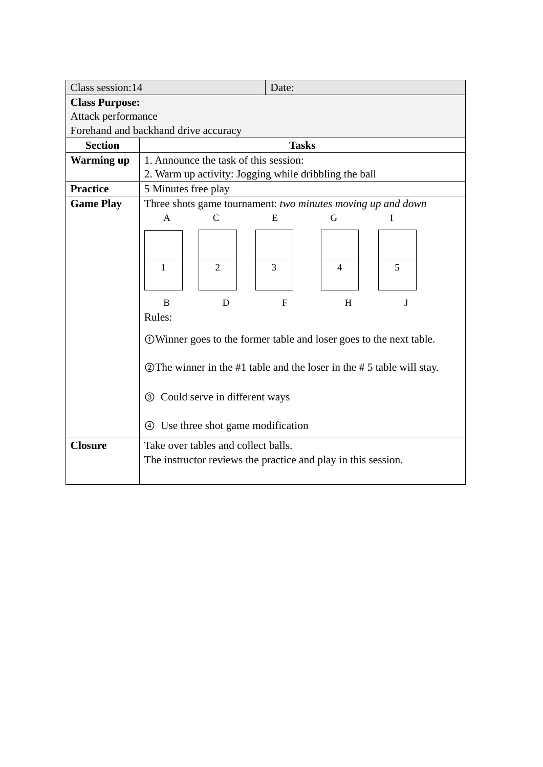| Class session:14                     | Date:                                                                     |                                       |              |                                                               |   |  |  |
|--------------------------------------|---------------------------------------------------------------------------|---------------------------------------|--------------|---------------------------------------------------------------|---|--|--|
| <b>Class Purpose:</b>                |                                                                           |                                       |              |                                                               |   |  |  |
| Attack performance                   |                                                                           |                                       |              |                                                               |   |  |  |
| Forehand and backhand drive accuracy |                                                                           |                                       |              |                                                               |   |  |  |
| <b>Section</b>                       |                                                                           |                                       | <b>Tasks</b> |                                                               |   |  |  |
| <b>Warming up</b>                    |                                                                           | 1. Announce the task of this session: |              |                                                               |   |  |  |
|                                      |                                                                           |                                       |              | 2. Warm up activity: Jogging while dribbling the ball         |   |  |  |
| <b>Practice</b>                      | 5 Minutes free play                                                       |                                       |              |                                                               |   |  |  |
| <b>Game Play</b>                     |                                                                           |                                       |              | Three shots game tournament: two minutes moving up and down   |   |  |  |
|                                      | A                                                                         | $\mathsf{C}$                          | E            | G                                                             | I |  |  |
|                                      |                                                                           |                                       |              |                                                               |   |  |  |
|                                      |                                                                           |                                       |              |                                                               |   |  |  |
|                                      | 1                                                                         | $\mathfrak{D}$                        | 3            | $\overline{4}$                                                | 5 |  |  |
|                                      |                                                                           |                                       |              |                                                               |   |  |  |
|                                      |                                                                           |                                       |              |                                                               |   |  |  |
|                                      | B                                                                         | D                                     | $\mathbf{F}$ | H                                                             | J |  |  |
|                                      | Rules:                                                                    |                                       |              |                                                               |   |  |  |
|                                      | <b>OWinner goes to the former table and loser goes to the next table.</b> |                                       |              |                                                               |   |  |  |
|                                      |                                                                           |                                       |              |                                                               |   |  |  |
|                                      | The winner in the #1 table and the loser in the #5 table will stay.       |                                       |              |                                                               |   |  |  |
|                                      |                                                                           |                                       |              |                                                               |   |  |  |
|                                      | <b>3</b> Could serve in different ways                                    |                                       |              |                                                               |   |  |  |
|                                      |                                                                           |                                       |              |                                                               |   |  |  |
|                                      | Use three shot game modification<br>$\left( 4\right)$                     |                                       |              |                                                               |   |  |  |
| <b>Closure</b>                       | Take over tables and collect balls.                                       |                                       |              |                                                               |   |  |  |
|                                      |                                                                           |                                       |              | The instructor reviews the practice and play in this session. |   |  |  |
|                                      |                                                                           |                                       |              |                                                               |   |  |  |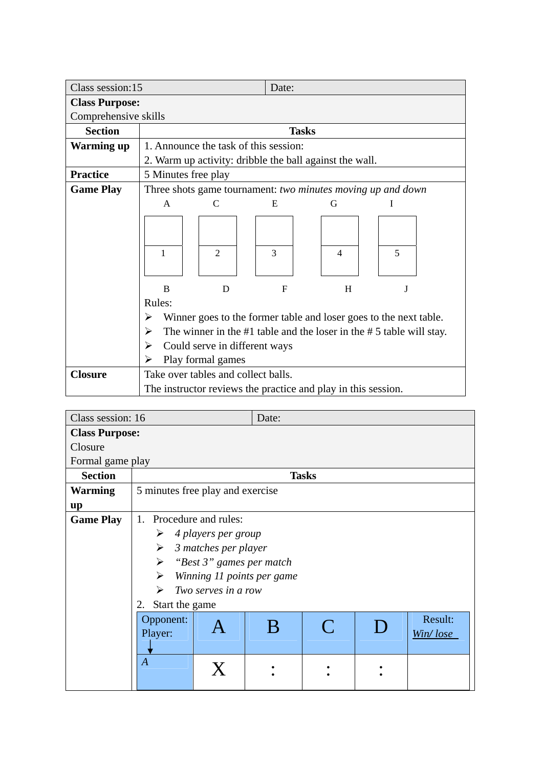| Class session:15      |                                                                              |                | Date:                                 |                                                               |   |  |  |
|-----------------------|------------------------------------------------------------------------------|----------------|---------------------------------------|---------------------------------------------------------------|---|--|--|
| <b>Class Purpose:</b> |                                                                              |                |                                       |                                                               |   |  |  |
| Comprehensive skills  |                                                                              |                |                                       |                                                               |   |  |  |
| <b>Section</b>        |                                                                              |                | <b>Tasks</b>                          |                                                               |   |  |  |
| <b>Warming up</b>     |                                                                              |                | 1. Announce the task of this session: |                                                               |   |  |  |
|                       |                                                                              |                |                                       | 2. Warm up activity: dribble the ball against the wall.       |   |  |  |
| <b>Practice</b>       | 5 Minutes free play                                                          |                |                                       |                                                               |   |  |  |
| <b>Game Play</b>      |                                                                              |                |                                       | Three shots game tournament: two minutes moving up and down   |   |  |  |
|                       | A                                                                            | C              | E                                     | G                                                             |   |  |  |
|                       | 1                                                                            | $\overline{2}$ | 3                                     | $\overline{4}$                                                | 5 |  |  |
|                       | B                                                                            | D              | F                                     | H                                                             | J |  |  |
|                       | Rules:                                                                       |                |                                       |                                                               |   |  |  |
|                       | Winner goes to the former table and loser goes to the next table.<br>➤       |                |                                       |                                                               |   |  |  |
|                       | The winner in the $#1$ table and the loser in the $#5$ table will stay.<br>➤ |                |                                       |                                                               |   |  |  |
|                       | Could serve in different ways<br>➤                                           |                |                                       |                                                               |   |  |  |
|                       | Play formal games<br>➤<br>Take over tables and collect balls.                |                |                                       |                                                               |   |  |  |
| <b>Closure</b>        |                                                                              |                |                                       |                                                               |   |  |  |
|                       |                                                                              |                |                                       | The instructor reviews the practice and play in this session. |   |  |  |

| Class session: 16     |                                                   |    | Date: |              |  |  |  |  |
|-----------------------|---------------------------------------------------|----|-------|--------------|--|--|--|--|
| <b>Class Purpose:</b> |                                                   |    |       |              |  |  |  |  |
| Closure               |                                                   |    |       |              |  |  |  |  |
| Formal game play      |                                                   |    |       |              |  |  |  |  |
| <b>Section</b>        |                                                   |    |       | <b>Tasks</b> |  |  |  |  |
| <b>Warming</b>        | 5 minutes free play and exercise                  |    |       |              |  |  |  |  |
| up                    |                                                   |    |       |              |  |  |  |  |
| <b>Game Play</b>      | 1. Procedure and rules:                           |    |       |              |  |  |  |  |
|                       | 4 players per group<br>➤                          |    |       |              |  |  |  |  |
|                       | $\blacktriangleright$<br>3 matches per player     |    |       |              |  |  |  |  |
|                       | $\blacktriangleright$<br>"Best 3" games per match |    |       |              |  |  |  |  |
|                       | ➤<br>Winning 11 points per game                   |    |       |              |  |  |  |  |
|                       | Two serves in a row<br>↘                          |    |       |              |  |  |  |  |
|                       | Start the game<br>2.                              |    |       |              |  |  |  |  |
|                       | Result:<br>Opponent:                              |    |       |              |  |  |  |  |
|                       | $\subset$<br>B<br>Player:<br>Win/lose             |    |       |              |  |  |  |  |
|                       |                                                   |    |       |              |  |  |  |  |
|                       | $\boldsymbol{A}$                                  |    |       |              |  |  |  |  |
|                       |                                                   | X. |       |              |  |  |  |  |
|                       |                                                   |    |       |              |  |  |  |  |